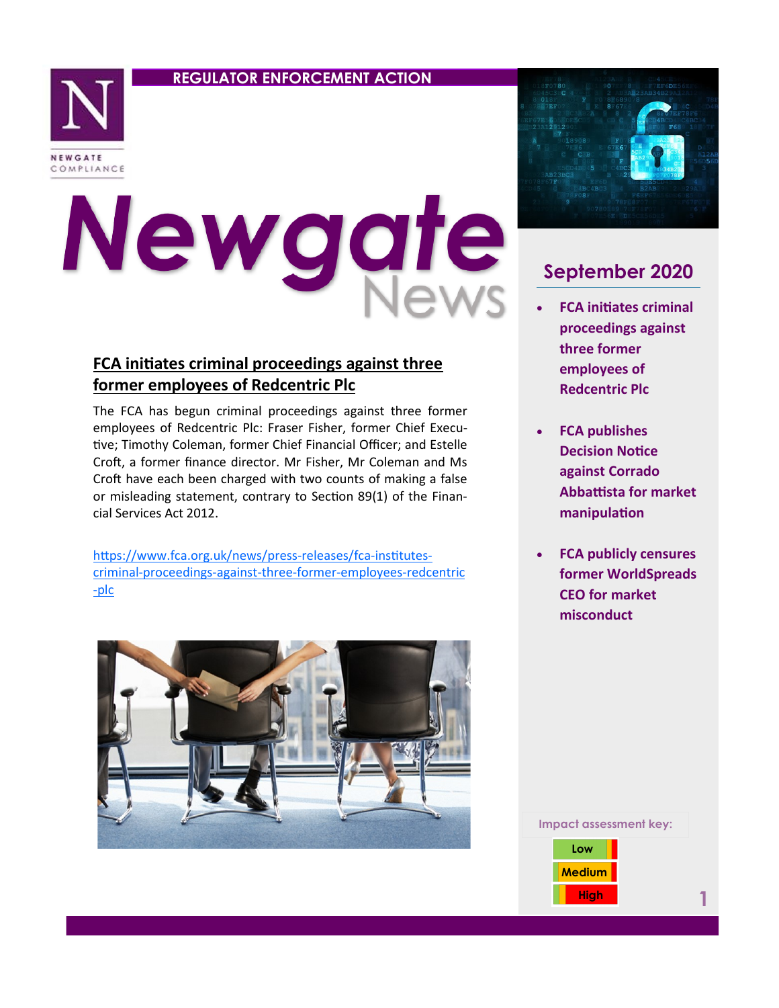### **REGULATOR ENFORCEMENT ACTION**



# Newgate

## **FCA initiates criminal proceedings against three former employees of Redcentric Plc**

The FCA has begun criminal proceedings against three former employees of Redcentric Plc: Fraser Fisher, former Chief Executive; Timothy Coleman, former Chief Financial Officer; and Estelle Croft, a former finance director. Mr Fisher, Mr Coleman and Ms Croft have each been charged with two counts of making a false or misleading statement, contrary to Section 89(1) of the Financial Services Act 2012.

[https://www.fca.org.uk/news/press](https://www.fca.org.uk/news/press-releases/fca-institutes-criminal-proceedings-against-three-former-employees-redcentric-plc)-releases/fca-institutescriminal-[proceedings](https://www.fca.org.uk/news/press-releases/fca-institutes-criminal-proceedings-against-three-former-employees-redcentric-plc)-against-three-former-employees-redcentric -[plc](https://www.fca.org.uk/news/press-releases/fca-institutes-criminal-proceedings-against-three-former-employees-redcentric-plc)





# **September 2020**

- **FCA initiates criminal proceedings against three former employees of Redcentric Plc**
- **FCA publishes Decision Notice against Corrado Abbattista for market manipulation**
- **FCA publicly censures former WorldSpreads CEO for market misconduct**

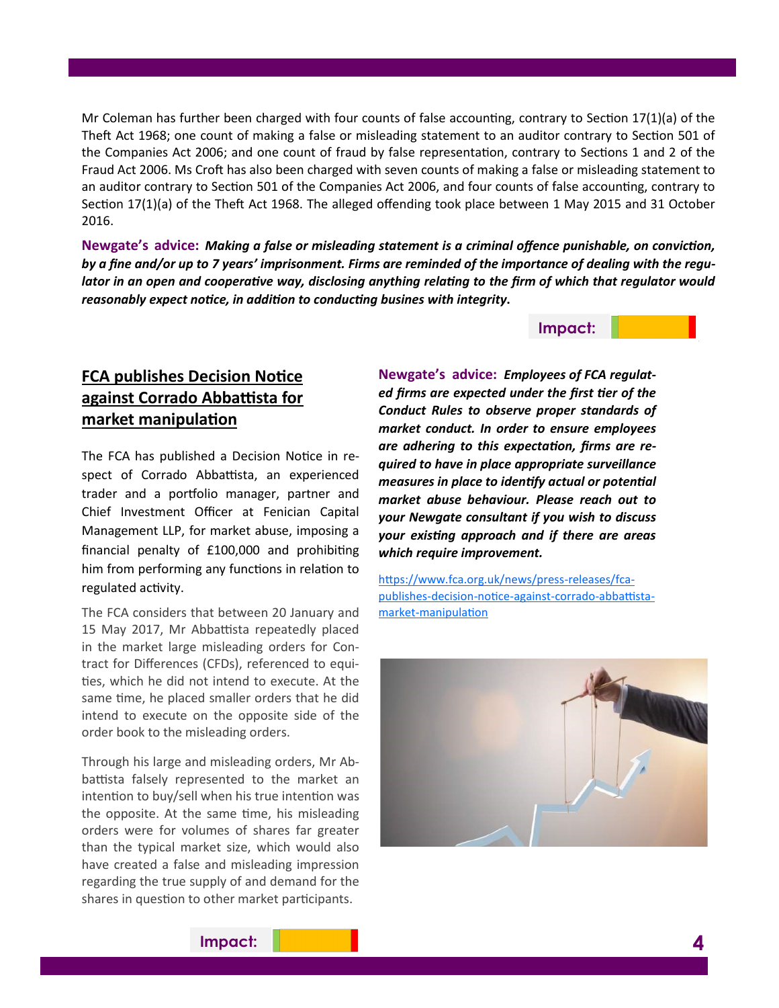Mr Coleman has further been charged with four counts of false accounting, contrary to Section 17(1)(a) of the Theft Act 1968; one count of making a false or misleading statement to an auditor contrary to Section 501 of the Companies Act 2006; and one count of fraud by false representation, contrary to Sections 1 and 2 of the Fraud Act 2006. Ms Croft has also been charged with seven counts of making a false or misleading statement to an auditor contrary to Section 501 of the Companies Act 2006, and four counts of false accounting, contrary to Section 17(1)(a) of the Theft Act 1968. The alleged offending took place between 1 May 2015 and 31 October 2016.

**Newgate's advice:** *Making a false or misleading statement is a criminal offence punishable, on conviction, by a fine and/or up to 7 years' imprisonment. Firms are reminded of the importance of dealing with the regulator in an open and cooperative way, disclosing anything relating to the firm of which that regulator would reasonably expect notice, in addition to conducting busines with integrity***.**

#### **Impact:**

## **FCA publishes Decision Notice against Corrado Abbattista for market manipulation**

The FCA has published a Decision Notice in respect of Corrado Abbattista, an experienced trader and a portfolio manager, partner and Chief Investment Officer at Fenician Capital Management LLP, for market abuse, imposing a financial penalty of £100,000 and prohibiting him from performing any functions in relation to regulated activity.

The FCA considers that between 20 January and 15 May 2017, Mr Abbattista repeatedly placed in the market large misleading orders for Contract for Differences (CFDs), referenced to equities, which he did not intend to execute. At the same time, he placed smaller orders that he did intend to execute on the opposite side of the order book to the misleading orders.

Through his large and misleading orders, Mr Abbattista falsely represented to the market an intention to buy/sell when his true intention was the opposite. At the same time, his misleading orders were for volumes of shares far greater than the typical market size, which would also have created a false and misleading impression regarding the true supply of and demand for the shares in question to other market participants.

**Newgate's advice:** *Employees of FCA regulated firms are expected under the first tier of the Conduct Rules to observe proper standards of market conduct. In order to ensure employees are adhering to this expectation, firms are required to have in place appropriate surveillance measures in place to identify actual or potential market abuse behaviour. Please reach out to your Newgate consultant if you wish to discuss your existing approach and if there are areas which require improvement.*

[https://www.fca.org.uk/news/press](https://www.fca.org.uk/news/press-releases/fca-publishes-decision-notice-against-corrado-abbattista-market-manipulation)-releases/fcapublishes-decision-notice-against-corrado-[abbattista](https://www.fca.org.uk/news/press-releases/fca-publishes-decision-notice-against-corrado-abbattista-market-manipulation)market-[manipulation](https://www.fca.org.uk/news/press-releases/fca-publishes-decision-notice-against-corrado-abbattista-market-manipulation)



# **Impact: 4**